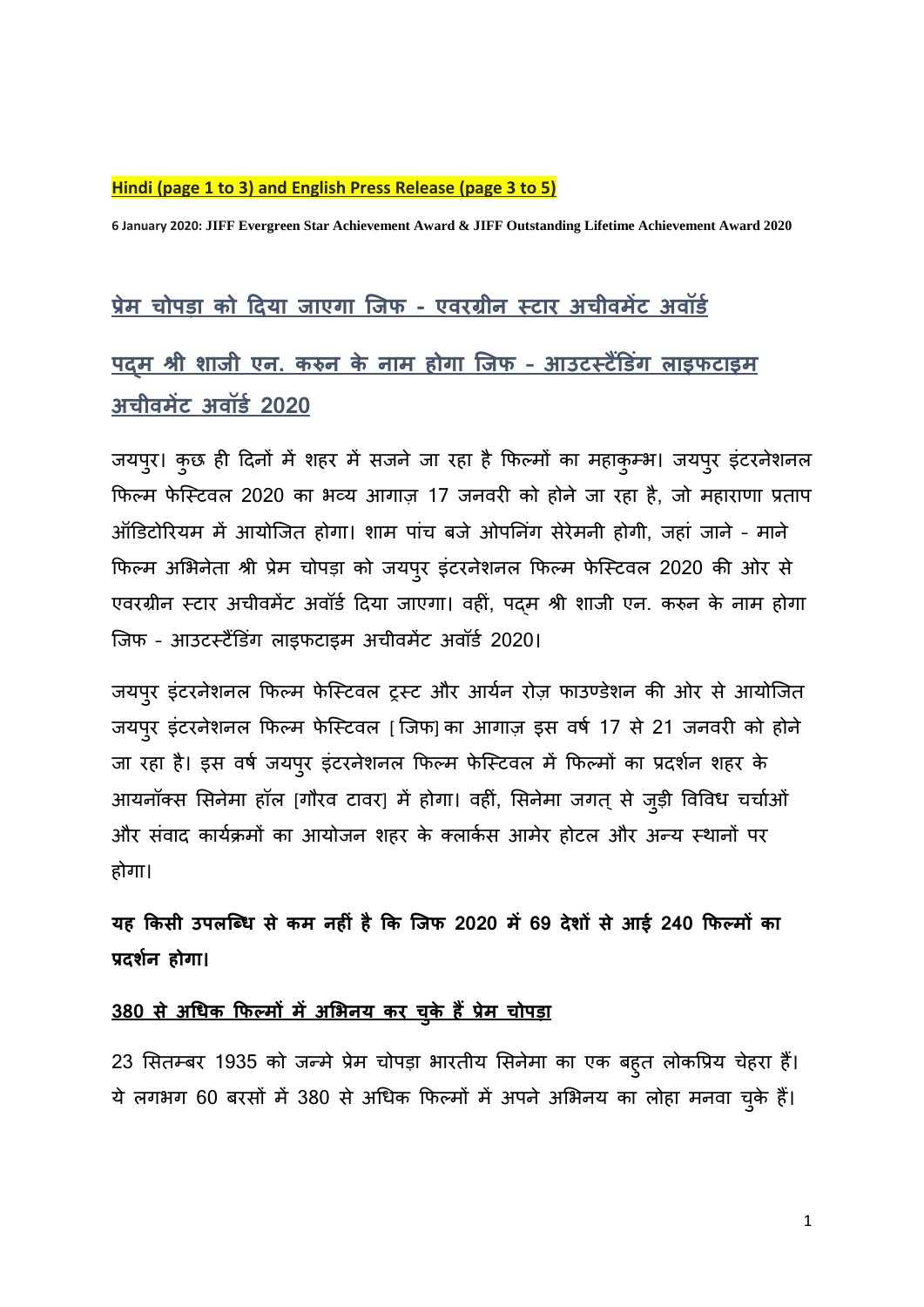#### **Hindi (page 1 to 3) and English Press Release (page 3 to 5)**

**6 January 2020: JIFF Evergreen Star Achievement Award & JIFF Outstanding Lifetime Achievement Award 2020**

# **प्रेम चोपड़ा को दिय़ा ज़ाएग़ा जजफ - एवरग्रीन स्ट़ार अचीवमेंट अवॉर्ड**

# **पद्म श्री श़ाजी एन. करुन के ऩाम होग़ा जजफ – आउटस्टैंडर्गिं ल़ाइफट़ाइम अचीवमेंट अवॉर्ड 2020**

जयपुर। कुछ ही दिनों में शहर में सजने जा रहा है फिल्मों का महाकुम्भ। जयपुर इंटरनेशनल फिल्म फेस्टिवल 2020 का भव्य आगाज़ 17 जनवरी को होने जा रहा है, जो महाराणा प्रताप ऑडिटोरियम में आयोजित होगा। शाम पांच बजे ओपनिंग सेरेमनी होगी, जहां जाने - माने फिल्म अभभनेता श्री प्रेम चोपडा को जयपुर इंटरनेशनल फिल्म िेस्टटवल 2020 की ओर से एवरग्रीन टटार अचीवमेंट अवॉिड दिया जाएगा। वहीं, पद्म श्री शाजी एन. करुन के नाम होगा जिफ - आउटर्स्टैंडिंग लाइफटाइम अचीवमेंट अवॉर्ड 2020।

जयपुर इंटरनेशनल फिल्म फेस्टिवल ट्रस्ट और आर्यन रोज़ फाउण्डेशन की ओर से आयोजित जयपुर इंटरनेशनल फिल्म फेस्टिवल [ जिफ] का आगाज़ इस वर्ष 17 से 21 जनवरी को होने जा रहा है। इस वर्ष जयपुर इंटरनेशनल फिल्म फेस्टिवल में फिल्मों का प्रदर्शन शहर के आयनॉक्स सिनेमा हॉल [गौरव टावर] में होगा। वहीं, सिनेमा जगत् से जुड़ी विविध चर्चाओं और संवाद कार्यक्रमों का आयोजन शहर के क्लार्कस आमेर होटल और अन्य स्थानों पर होगा।

यह किसी उपलब्धि से कम नहीं है कि जिफ 2020 में 69 देशों से आई 240 फिल्मों का **प्रिशडन होग़ा।** 

### **380 से अधिक कफल्मों मेंअभिनय कर चकुे हैंप्रेम चोपड़ा**

23 सितम्बर 1935 को जन्मे प्रेम चोपड़ा भारतीय सिनेमा का एक बहुत लोकप्रिय चेहरा हैं। ये लगभग 60 बरसों में 380 से अधधक फिल्मों में अपने अभभनय का लोहा मनवा चकुे हैं।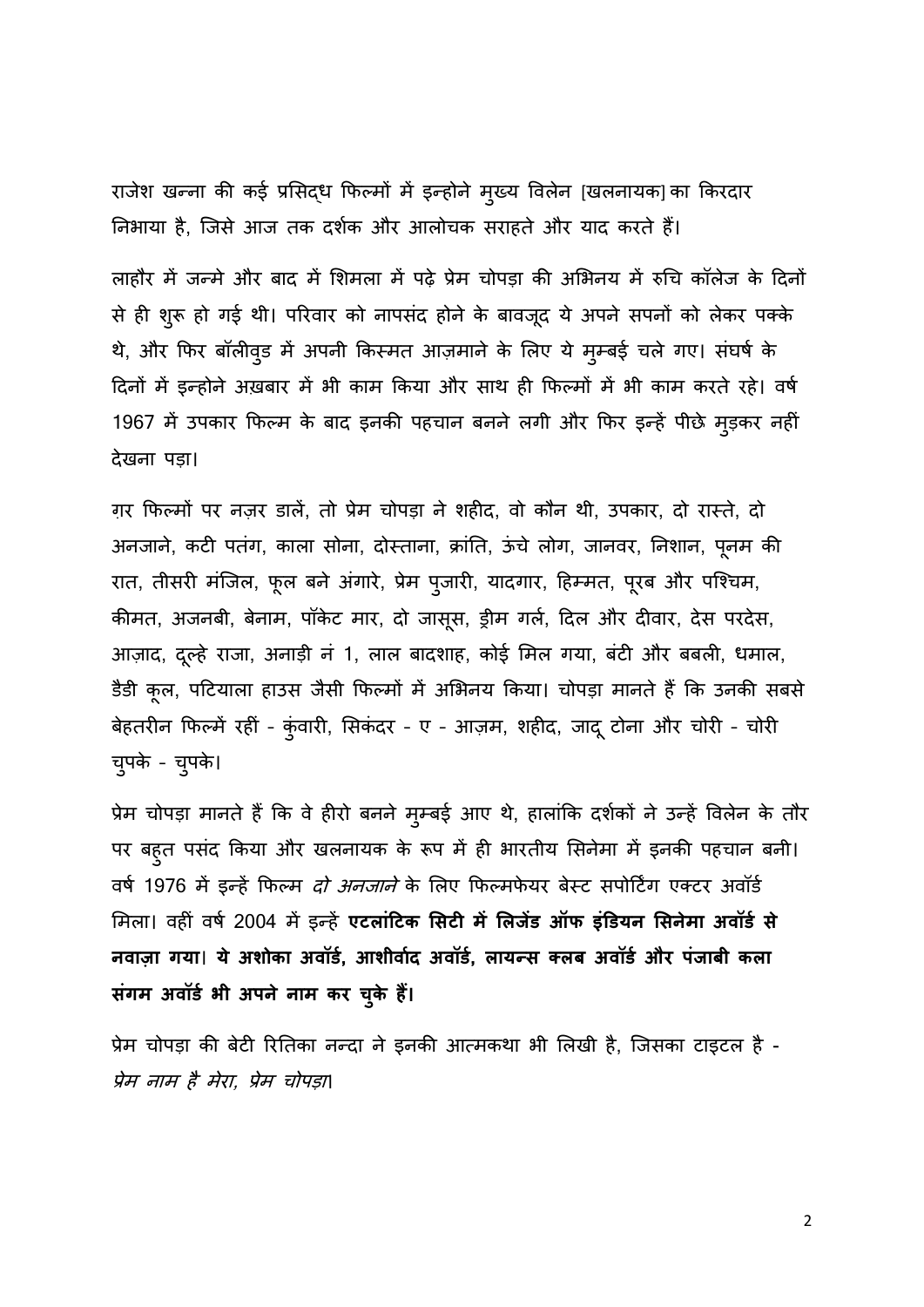राजेश खन्ना की कई प्रसिद्ध फिल्मों में इन्होने मुख्य विलेन [खलनायक] का किरदार निभाया है, जिसे आज तक दर्शक और आलोचक सराहते और याद करते हैं।

लाहौर में जन्मे और बाद में शिमला में पढ़े प्रेम चोपड़ा की अभिनय में रुचि कॉलेज के दिनों से ही शुरू हो गई थी। परिवार को नापसंद होने के बावजूद ये अपने सपनों को लेकर पक्के थे, और फिर बॉलीवुड में अपनी किस्मत आज़माने के लिए ये मुम्बई चले गए। संघर्ष के दिनों में इन्होने अख़बार में भी काम फकया और साथ ही फिल्मों में भी काम करते रहे। वर्ड 1967 में उपकार फिल्म के बाद इनकी पहचान बनने लगी और फिर इन्हें पीछे मुड़कर नहीं िेखना पडा।

ग़र फिल्मों पर नज़र डालें, तो प्रेम चोपड़ा ने शहीद, वो कौन थी, उपकार, दो रास्ते, दो अनजाने, कटी पतंग, काला सोना, दोस्ताना, क्रांति, ऊंचे लोग, जानवर, निशान, पूनम की रात, तीसरी मंजिल, फूल बने अंगारे, प्रेम पुजारी, यादगार, हिम्मत, पूरब और पश्चिम, कीमत, अजनबी, बेनाम, पॉकेट मार, दो जासूस, ड्रीम गर्ल, दिल और दीवार, देस परदेस, आज़ाद, दूल्हे राजा, अनाड़ी नं 1, लाल बादशाह, कोई मिल गया, बंटी और बबली, धमाल, डैडी कूल, पटियाला हाउस जैसी फिल्मों में अभिनय किया। चोपड़ा मानते हैं कि उनकी सबसे बेहतरीन फिल्में रहीं - कुंवारी, सिकंदर - ए - आज़म, शहीद, जादू टोना और चोरी - चोरी चपुके – चपुके।

प्रेम चोपड़ा मानते हैं कि वे हीरो बनने मुम्बई आए थे, हालांकि दर्शकों ने उन्हें विलेन के तौर पर बहुत पसंद किया और खलनायक के रूप में ही भारतीय सिनेमा में इनकी पहचान बनी। वर्ष 1976 में इन्हें फिल्म *दो अनजाने* के लिए फिल्मफेयर बेस्ट सपोर्टिंग एक्टर अवॉर्ड मिला। वहीं वर्ष 2004 में इन्हें **एटलांटिक सिटी में लिजेंड ऑफ इंडियन सिनेमा अवॉर्ड से नव़ाज़ा गय़ा**। **ये अशोक़ा अवॉर्ड, आशीव़ाडि अवॉर्ड, ल़ायन्स क्लब अवॉर्ड और पिंज़ाबी कल़ा सिंगम अवॉर्ड िी अपनेऩाम कर चकुे हैं।**

प्रेम चोपड़ा की बेटी रितिका नन्दा ने इनकी आत्मकथा भी लिखी है, जिसका टाइटल है -प्रेम नाम है मेरा, प्रेम चोपडा।

2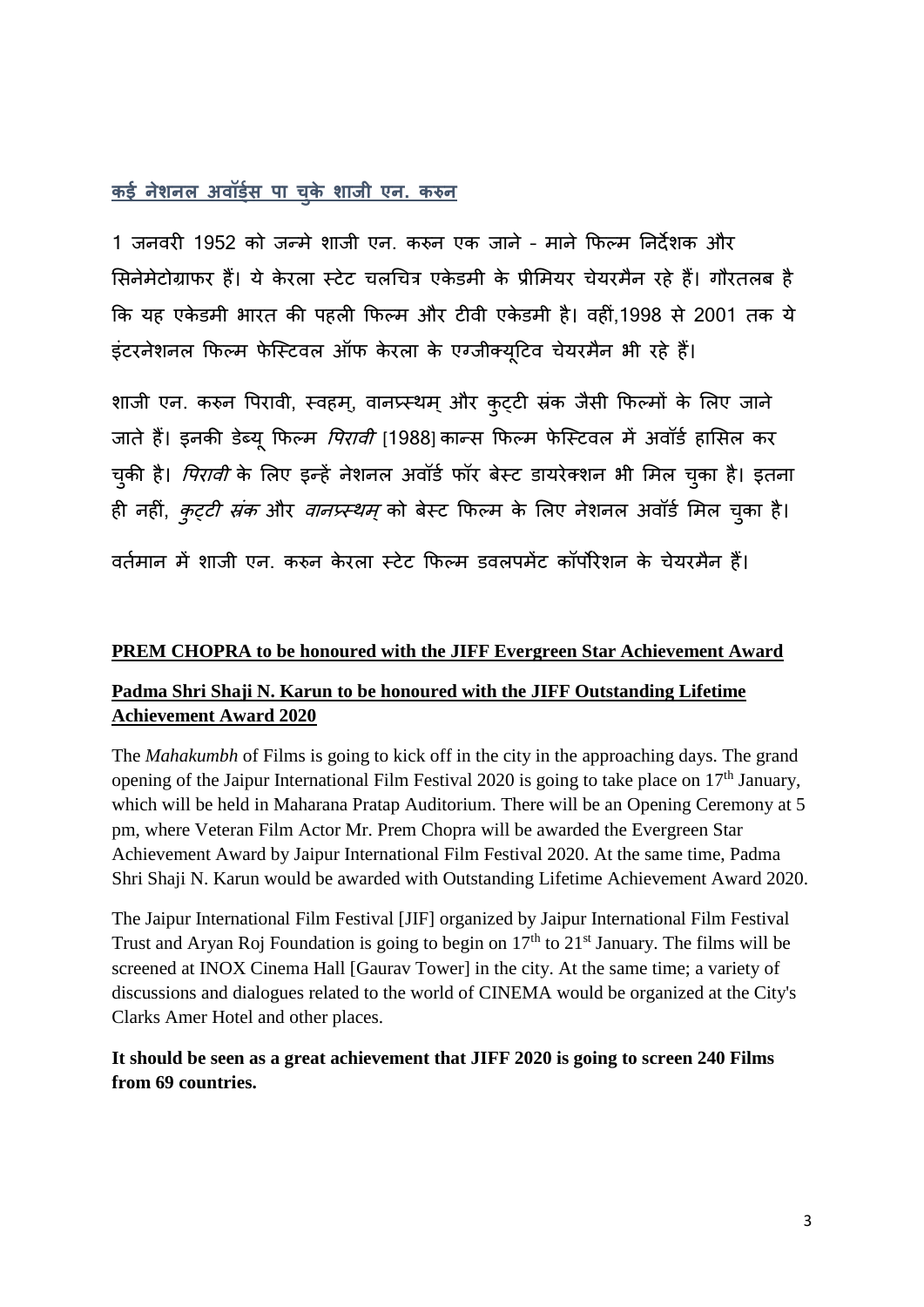### **कई नेशनल अवॉर्डडस प़ा चकुे श़ाजी एन. करुन**

1 जनवरी 1952 को जन्मे शाजी एन. करुन एक जाने – माने फिल्म ननिेशक और सिनेमेटोग्राफर हैं। ये केरला स्टेट चलचित्र एकेडमी के प्रीमियर चेयरमैन रहे हैं। गौरतलब है कि यह एकेडमी भारत की पहली फिल्म और टीवी एकेडमी है। वहीं,1998 से 2001 तक ये इंटरनेशनल फिल्म फेस्टिवल ऑफ केरला के एग्जीक्यूटिव चेयरमैन भी रहे हैं।

शाजी एन. करुन पिरावी, स्वहम्, वानप्र्स्थम् और कुट्टी स्रंक जैसी फिल्मों के लिए जाने जाते हैं। इनकी डेब्यू फिल्म *पिरावी* [1988] कान्स फिल्म फेस्टिवल में अवॉर्ड हासिल कर चकी है। *पिरावी* के लिए इन्हें नेशनल अवॉर्ड फॉर बेस्ट डायरेक्शन भी मिल चुका है। इतना ही नहीं, *कुट्टी संक* और *वानप्र्स्थम्* को बेस्ट फिल्म के लिए नेशनल अवॉर्ड मिल चुका है। वर्तमान में शाजी एन. करुन केरला स्टेट फिल्म डवलपमेंट कॉर्पोरेशन के चेयरमैन हैं।

## **PREM CHOPRA to be honoured with the JIFF Evergreen Star Achievement Award**

#### **Padma Shri Shaji N. Karun to be honoured with the JIFF Outstanding Lifetime Achievement Award 2020**

The *Mahakumbh* of Films is going to kick off in the city in the approaching days. The grand opening of the Jaipur International Film Festival 2020 is going to take place on 17<sup>th</sup> January, which will be held in Maharana Pratap Auditorium. There will be an Opening Ceremony at 5 pm, where Veteran Film Actor Mr. Prem Chopra will be awarded the Evergreen Star Achievement Award by Jaipur International Film Festival 2020. At the same time, Padma Shri Shaji N. Karun would be awarded with Outstanding Lifetime Achievement Award 2020.

The Jaipur International Film Festival [JIF] organized by Jaipur International Film Festival Trust and Aryan Roj Foundation is going to begin on  $17<sup>th</sup>$  to  $21<sup>st</sup>$  January. The films will be screened at INOX Cinema Hall [Gaurav Tower] in the city. At the same time; a variety of discussions and dialogues related to the world of CINEMA would be organized at the City's Clarks Amer Hotel and other places.

#### **It should be seen as a great achievement that JIFF 2020 is going to screen 240 Films from 69 countries.**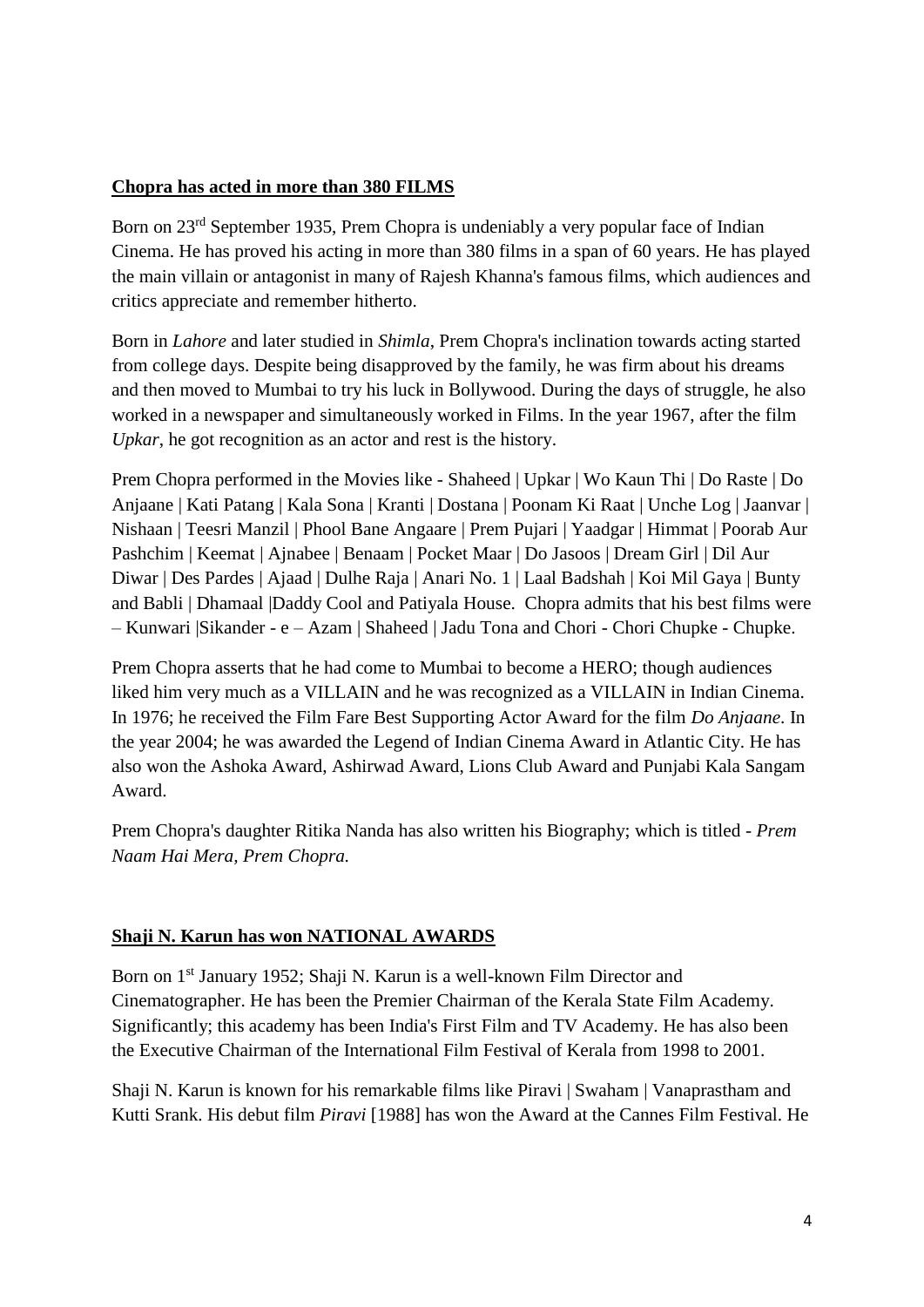#### **Chopra has acted in more than 380 FILMS**

Born on 23<sup>rd</sup> September 1935, Prem Chopra is undeniably a very popular face of Indian Cinema. He has proved his acting in more than 380 films in a span of 60 years. He has played the main villain or antagonist in many of Rajesh Khanna's famous films, which audiences and critics appreciate and remember hitherto.

Born in *Lahore* and later studied in *Shimla*, Prem Chopra's inclination towards acting started from college days. Despite being disapproved by the family, he was firm about his dreams and then moved to Mumbai to try his luck in Bollywood. During the days of struggle, he also worked in a newspaper and simultaneously worked in Films. In the year 1967, after the film *Upkar*, he got recognition as an actor and rest is the history.

Prem Chopra performed in the Movies like - Shaheed | Upkar | Wo Kaun Thi | Do Raste | Do Anjaane | Kati Patang | Kala Sona | Kranti | Dostana | Poonam Ki Raat | Unche Log | Jaanvar | Nishaan | Teesri Manzil | Phool Bane Angaare | Prem Pujari | Yaadgar | Himmat | Poorab Aur Pashchim | Keemat | Ajnabee | Benaam | Pocket Maar | Do Jasoos | Dream Girl | Dil Aur Diwar | Des Pardes | Ajaad | Dulhe Raja | Anari No. 1 | Laal Badshah | Koi Mil Gaya | Bunty and Babli | Dhamaal |Daddy Cool and Patiyala House. Chopra admits that his best films were – Kunwari |Sikander - e – Azam | Shaheed | Jadu Tona and Chori - Chori Chupke - Chupke.

Prem Chopra asserts that he had come to Mumbai to become a HERO; though audiences liked him very much as a VILLAIN and he was recognized as a VILLAIN in Indian Cinema. In 1976; he received the Film Fare Best Supporting Actor Award for the film *Do Anjaane*. In the year 2004; he was awarded the Legend of Indian Cinema Award in Atlantic City. He has also won the Ashoka Award, Ashirwad Award, Lions Club Award and Punjabi Kala Sangam Award.

Prem Chopra's daughter Ritika Nanda has also written his Biography; which is titled - *Prem Naam Hai Mera, Prem Chopra.*

#### **Shaji N. Karun has won NATIONAL AWARDS**

Born on 1<sup>st</sup> January 1952; Shaji N. Karun is a well-known Film Director and Cinematographer. He has been the Premier Chairman of the Kerala State Film Academy. Significantly; this academy has been India's First Film and TV Academy. He has also been the Executive Chairman of the International Film Festival of Kerala from 1998 to 2001.

Shaji N. Karun is known for his remarkable films like Piravi | Swaham | Vanaprastham and Kutti Srank. His debut film *Piravi* [1988] has won the Award at the Cannes Film Festival. He